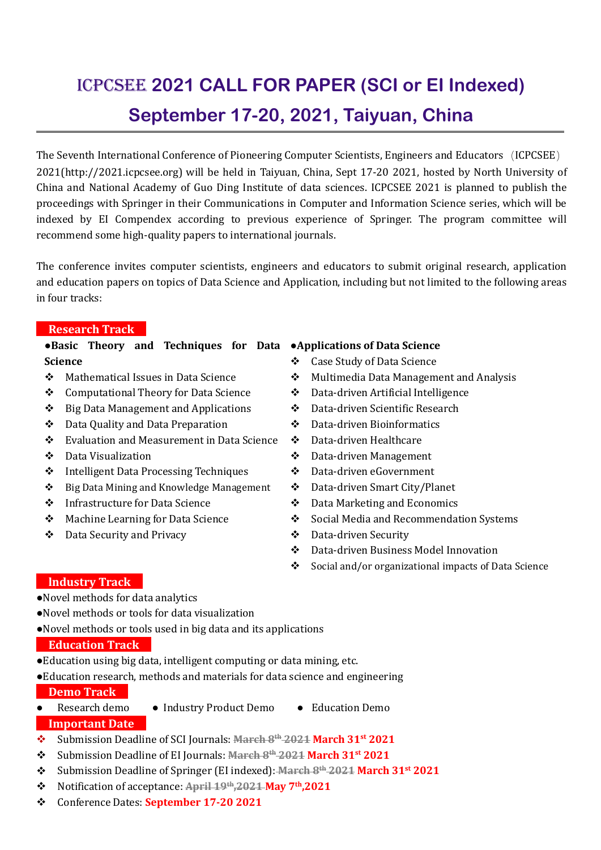# ICPCSEE **2021 CALL FOR PAPER (SCI or EI Indexed) September 17-20, 2021, Taiyuan, China**

The Seventh International Conference of Pioneering Computer Scientists, Engineers and Educators(ICPCSEE) 2021(http://2021.icpcsee.org) will be held in Taiyuan, China, Sept 17-20 2021, hosted by North University of China and National Academy of Guo Ding Institute of data sciences. ICPCSEE 2021 is planned to publish the proceedings with Springer in their Communications in Computer and Information Science series, which will be indexed by EI Compendex according to previous experience of Springer. The program committee will recommend some high-quality papers to international journals.

The conference invites computer scientists, engineers and educators to submit original research, application and education papers on topics of Data Science and Application, including but not limited to the following areas in four tracks:

#### **Research Track**

#### ●**Basic Theory and Techniques for Data** ●**Applications of Data Science Science**

- ❖ Mathematical Issues in Data Science → ◆
- Computational Theory for Data Science
- $\bullet$  Big Data Management and Applications  $\bullet$
- Data Quality and Data Preparation
- ❖ Evaluation and Measurement in Data Science ❖
- Data Visualization
- ❖ Intelligent Data Processing Techniques →
- $\cdot \cdot$  Big Data Mining and Knowledge Management  $\cdot \cdot$
- Infrastructure forData Science
- Machine Learning for Data Science
- Data Security and Privacy

- Case Study of Data Science
- Multimedia Data Management and Analysis
- Data-driven Artificial Intelligence
- Data-driven Scientific Research
- Data-driven Bioinformatics
- Data-driven Healthcare
- Data-driven Management
- Data-driven eGovernment
- Data-driven Smart City/Planet
- Data Marketing and Economics
- Social Media and Recommendation Systems
- Data-driven Security
- Data-driven Business Model Innovation
- Social and/or organizational impacts of Data Science

### **lndustry Track**

- ●Novel methods for data analytics
- ●Novel methods or tools for data visualization
- ●Novel methods or tools used in big data and its applications

#### **Education Track**

- ●Education using big data, intelligent computing or data mining, etc.
- ●Education research, methods and materials for data science and engineering **Demo Track**
- Research demo Industry Product Demo Education Demo **Important Date**
- Submission Deadline of SCI Journals: **March 8 th 2021 March 31 st 2021**
- Submission Deadline of EI Journals: **March 8 th 2021 March 31 st 2021**
- Submission Deadline of Springer (EI indexed): **March 8 th 2021 March 31 st 2021**
- Notification of acceptance: **April 19 th ,2021 May 7 th ,2021**
- Conference Dates: **September 17-20 2021**